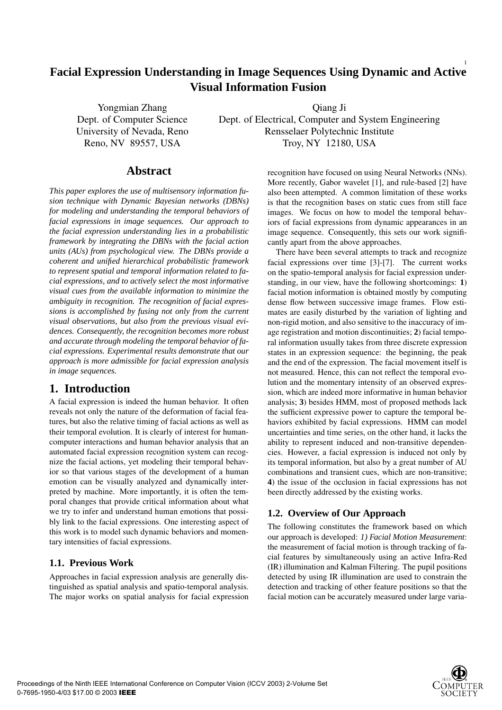### 1 **Facial Expression Understanding in Image Sequences Using Dynamic and Active Visual Information Fusion**

Yongmian Zhang Qiang Ji Dept. of Computer Science Dept. of Electrical, Computer and System Engineering University of Nevada, Reno Rensselaer Polytechnic Institute Reno, NV 89557, USA Troy, NY 12180, USA

## **Abstract**

*This paper explores the use of multisensory information fusion technique with Dynamic Bayesian networks (DBNs) for modeling and understanding the temporal behaviors of facial expressions in image sequences. Our approach to the facial expression understanding lies in a probabilistic framework by integrating the DBNs with the facial action units (AUs) from psychological view. The DBNs provide a coherent and unified hierarchical probabilistic framework to represent spatial and temporal information related to facial expressions, and to actively select the most informative visual cues from the available information to minimize the ambiguity in recognition. The recognition of facial expressions is accomplished by fusing not only from the current visual observations, but also from the previous visual evidences. Consequently, the recognition becomes more robust and accurate through modeling the temporal behavior of facial expressions. Experimental results demonstrate that our approach is more admissible for facial expression analysis in image sequences.*

# **1. Introduction**

A facial expression is indeed the human behavior. It often reveals not only the nature of the deformation of facial features, but also the relative timing of facial actions as well as their temporal evolution. It is clearly of interest for humancomputer interactions and human behavior analysis that an automated facial expression recognition system can recognize the facial actions, yet modeling their temporal behavior so that various stages of the development of a human emotion can be visually analyzed and dynamically interpreted by machine. More importantly, it is often the temporal changes that provide critical information about what we try to infer and understand human emotions that possibly link to the facial expressions. One interesting aspect of this work is to model such dynamic behaviors and momentary intensities of facial expressions.

## **1.1. Previous Work**

Approaches in facial expression analysis are generally distinguished as spatial analysis and spatio-temporal analysis. The major works on spatial analysis for facial expression recognition have focused on using Neural Networks (NNs). More recently, Gabor wavelet [1], and rule-based [2] have also been attempted. A common limitation of these works is that the recognition bases on static cues from still face images. We focus on how to model the temporal behaviors of facial expressions from dynamic appearances in an image sequence. Consequently, this sets our work significantly apart from the above approaches.

There have been several attempts to track and recognize facial expressions over time [3]-[7]. The current works on the spatio-temporal analysis for facial expression understanding, in our view, have the following shortcomings: **1**) facial motion information is obtained mostly by computing dense flow between successive image frames. Flow estimates are easily disturbed by the variation of lighting and non-rigid motion, and also sensitive to the inaccuracy of image registration and motion discontinuities; **2**) facial temporal information usually takes from three discrete expression states in an expression sequence: the beginning, the peak and the end of the expression. The facial movement itself is not measured. Hence, this can not reflect the temporal evolution and the momentary intensity of an observed expression, which are indeed more informative in human behavior analysis; **3**) besides HMM, most of proposed methods lack the sufficient expressive power to capture the temporal behaviors exhibited by facial expressions. HMM can model uncertainties and time series, on the other hand, it lacks the ability to represent induced and non-transitive dependencies. However, a facial expression is induced not only by its temporal information, but also by a great number of AU combinations and transient cues, which are non-transitive; **4**) the issue of the occlusion in facial expressions has not been directly addressed by the existing works.

## **1.2. Overview of Our Approach**

The following constitutes the framework based on which our approach is developed: *1) Facial Motion Measurement*: the measurement of facial motion is through tracking of facial features by simultaneously using an active Infra-Red (IR) illumination and Kalman Filtering. The pupil positions detected by using IR illumination are used to constrain the detection and tracking of other feature positions so that the facial motion can be accurately measured under large varia-

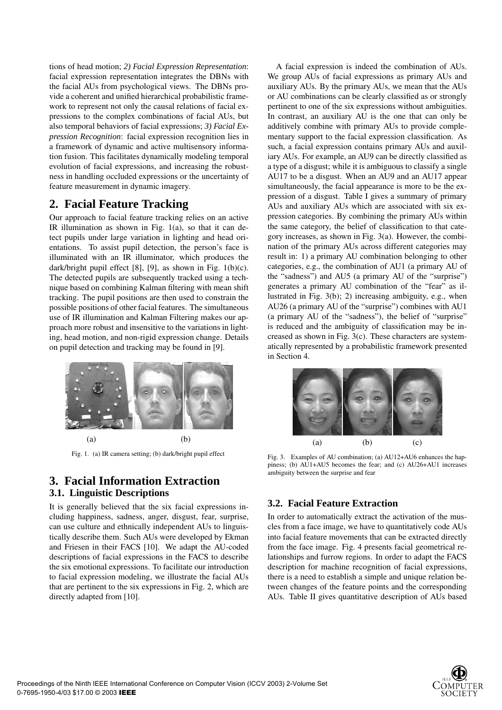tions of head motion; *2) Facial Expression Representation*: facial expression representation integrates the DBNs with the facial AUs from psychological views. The DBNs provide a coherent and unified hierarchical probabilistic framework to represent not only the causal relations of facial expressions to the complex combinations of facial AUs, but also temporal behaviors of facial expressions; *3) Facial Expression Recognition*: facial expression recognition lies in a framework of dynamic and active multisensory information fusion. This facilitates dynamically modeling temporal evolution of facial expressions, and increasing the robustness in handling occluded expressions or the uncertainty of feature measurement in dynamic imagery.

## **2. Facial Feature Tracking**

Our approach to facial feature tracking relies on an active IR illumination as shown in Fig.  $1(a)$ , so that it can detect pupils under large variation in lighting and head orientations. To assist pupil detection, the person's face is illuminated with an IR illuminator, which produces the dark/bright pupil effect [8], [9], as shown in Fig.  $1(b)(c)$ . The detected pupils are subsequently tracked using a technique based on combining Kalman filtering with mean shift tracking. The pupil positions are then used to constrain the possible positions of other facial features. The simultaneous use of IR illumination and Kalman Filtering makes our approach more robust and insensitive to the variations in lighting, head motion, and non-rigid expression change. Details on pupil detection and tracking may be found in [9].



Fig. 1. (a) IR camera setting; (b) dark/bright pupil effect

## **3. Facial Information Extraction 3.1. Linguistic Descriptions**

It is generally believed that the six facial expressions including happiness, sadness, anger, disgust, fear, surprise, can use culture and ethnically independent AUs to linguistically describe them. Such AUs were developed by Ekman and Friesen in their FACS [10]. We adapt the AU-coded descriptions of facial expressions in the FACS to describe the six emotional expressions. To facilitate our introduction to facial expression modeling, we illustrate the facial AUs that are pertinent to the six expressions in Fig. 2, which are directly adapted from [10].

A facial expression is indeed the combination of AUs. We group AUs of facial expressions as primary AUs and auxiliary AUs. By the primary AUs, we mean that the AUs or AU combinations can be clearly classified as or strongly pertinent to one of the six expressions without ambiguities. In contrast, an auxiliary AU is the one that can only be additively combine with primary AUs to provide complementary support to the facial expression classification. As such, a facial expression contains primary AUs and auxiliary AUs. For example, an AU9 can be directly classified as a type of a disgust; while it is ambiguous to classify a single AU17 to be a disgust. When an AU9 and an AU17 appear simultaneously, the facial appearance is more to be the expression of a disgust. Table I gives a summary of primary AUs and auxiliary AUs which are associated with six expression categories. By combining the primary AUs within the same category, the belief of classification to that category increases, as shown in Fig. 3(a). However, the combination of the primary AUs across different categories may result in: 1) a primary AU combination belonging to other categories, e.g., the combination of AU1 (a primary AU of the "sadness") and AU5 (a primary AU of the "surprise") generates a primary AU combination of the "fear" as illustrated in Fig. 3(b); 2) increasing ambiguity, e.g., when AU26 (a primary AU of the "surprise") combines with AU1 (a primary AU of the "sadness"), the belief of "surprise" is reduced and the ambiguity of classification may be increased as shown in Fig. 3(c). These characters are systematically represented by a probabilistic framework presented in Section 4.



Fig. 3. Examples of AU combination; (a) AU12+AU6 enhances the happiness; (b) AU1+AU5 becomes the fear; and (c) AU26+AU1 increases ambiguity between the surprise and fear

## **3.2. Facial Feature Extraction**

In order to automatically extract the activation of the muscles from a face image, we have to quantitatively code AUs into facial feature movements that can be extracted directly from the face image. Fig. 4 presents facial geometrical relationships and furrow regions. In order to adapt the FACS description for machine recognition of facial expressions, there is a need to establish a simple and unique relation between changes of the feature points and the corresponding AUs. Table II gives quantitative description of AUs based

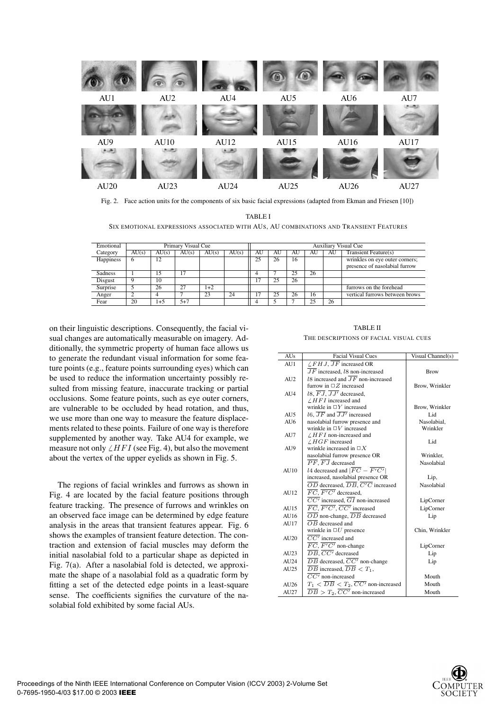

Fig. 2. Face action units for the components of six basic facial expressions (adapted from Ekman and Friesen [10])

TABLE I SIX EMOTIONAL EXPRESSIONS ASSOCIATED WITH AUS, AU COMBINATIONS AND TRANSIENT FEATURES

| Emotional | Primary Visual Cue |       |         |       |       |    | <b>Auxiliary Visual Cue</b> |    |    |    |                                                                 |
|-----------|--------------------|-------|---------|-------|-------|----|-----------------------------|----|----|----|-----------------------------------------------------------------|
| Category  | AU(s)              | AU(s) | AU(s)   | AU(s) | AU(s) | AU | AU                          | AU | AU | AU | <b>Transient Feature(s)</b>                                     |
| Happiness | n                  |       |         |       |       | 25 | 26                          | 16 |    |    | wrinkles on eye outer corners;<br>presence of nasolabial furrow |
| Sadness   |                    | 15    |         |       |       |    |                             | 25 | 26 |    |                                                                 |
| Disgust   |                    | 10    |         |       |       |    |                             | 26 |    |    |                                                                 |
| Surprise  |                    | 26    | 27      | $1+2$ |       |    |                             |    |    |    | furrows on the forehead                                         |
| Anger     |                    |       |         | 23    | 24    |    | 25                          | 26 | 16 |    | vertical furrows between brows                                  |
| Fear      | 20                 | 1+5   | $5 + 7$ |       |       |    |                             |    | 25 | 26 |                                                                 |

on their linguistic descriptions. Consequently, the facial visual changes are automatically measurable on imagery. Additionally, the symmetric property of human face allows us to generate the redundant visual information for some feature points (e.g., feature points surrounding eyes) which can be used to reduce the information uncertainty possibly resulted from missing feature, inaccurate tracking or partial occlusions. Some feature points, such as eye outer corners, are vulnerable to be occluded by head rotation, and thus, we use more than one way to measure the feature displacements related to these points. Failure of one way is therefore supplemented by another way. Take AU4 for example, we measure not only  $\angle HFI$  (see Fig. 4), but also the movement about the vertex of the upper eyelids as shown in Fig. 5.

The regions of facial wrinkles and furrows as shown in Fig. 4 are located by the facial feature positions through feature tracking. The presence of furrows and wrinkles on an observed face image can be determined by edge feature analysis in the areas that transient features appear. Fig. 6 shows the examples of transient feature detection. The contraction and extension of facial muscles may deform the initial nasolabial fold to a particular shape as depicted in Fig. 7(a). After a nasolabial fold is detected, we approximate the shape of a nasolabial fold as a quadratic form by fitting a set of the detected edge points in a least-square sense. The coefficients signifies the curvature of the nasolabial fold exhibited by some facial AUs.

#### TABLE II THE DESCRIPTIONS OF FACIAL VISUAL CUES

| <b>AUs</b> | <b>Facial Visual Cues</b>                                               | Visual Channel(s) |
|------------|-------------------------------------------------------------------------|-------------------|
| AU1        | $\angle FHJ$ , $\overline{JF}$ increased OR                             |                   |
|            | $\overline{J}\overline{F}$ increased, 18 non-increased                  | <b>Brow</b>       |
| AI12       | 18 increased and $\overline{J}\overline{F}$ non-increased               |                   |
|            | furrow in $\Box Z$ increased                                            | Brow, Wrinkler    |
| AI14       | 18. $\overline{FJ}$ , $\overline{JJ'}$ decreased.                       |                   |
|            | $/HFI$ increased and                                                    |                   |
|            | wrinkle in $\Box Y$ increased                                           | Brow, Wrinkler    |
| AU5        | 16. $\overline{JF}$ and $\overline{JJ'}$ increased                      | Lid               |
| AI16       | nasolabial furrow presence and                                          | Nasolabial.       |
|            | wrinkle in $\Box V$ increased                                           | Wrinkler          |
| AU7        | $/HFI$ non-increased and                                                |                   |
|            | $/HGF$ increased                                                        | Lid               |
| AU9        | wrinkle increased in $\Box X$                                           |                   |
|            | nasolabial furrow presence OR                                           | Wrinkler,         |
|            | $\overline{PF}$ , $\overline{FJ}$ decreased                             | Nasolabial        |
| AI10       | <i>l</i> 4 decreased and $ \overline{FC} - \overline{F'C'} $            |                   |
|            | increased, nasolabial presence OR                                       | Lip,              |
|            | $\overline{OD}$ decreased, $\overline{DB}$ , $\overline{C'C}$ increased | Nasolabial        |
| AU12       | $\overline{FC}$ , $\overline{F'C'}$ decreased,                          |                   |
|            | $\overline{CC'}$ increased, $\overline{GI}$ non-increased               | LipCorner         |
| AU15       | $\overline{FC}, \overline{F'C'}, \overline{CC'}$ increased              | LipCorner         |
| AU16       | $\overline{OD}$ non-change, $\overline{DB}$ decreased                   | Lip               |
| AU17       | $\overline{OB}$ decreased and                                           |                   |
|            | wrinkle in $\Box U$ presence                                            | Chin, Wrinkler    |
| AU20       | $\overline{CC'}$ increased and                                          |                   |
|            | $\overline{FC}, \overline{F'C'}$ non-change                             | LipCorner         |
| AU23       | $\overline{DB}, \overline{CC'}$ decreased                               | Lip               |
| AU24       | $\overline{DB}$ decreased, $\overline{CC'}$ non-change                  | Lip               |
| AU25       | $\overline{DB}$ increased, $\overline{DB} < T_1$ ,                      |                   |
|            | $\overline{CC'}$ non-increased                                          | Mouth             |
| AU26       | $T_1 < \overline{DB} < T_2$ , $\overline{CC'}$ non-increased            | Mouth             |
| AU27       | $\overline{DB} > T_2$ , $\overline{CC'}$ non-increased                  | Mouth             |

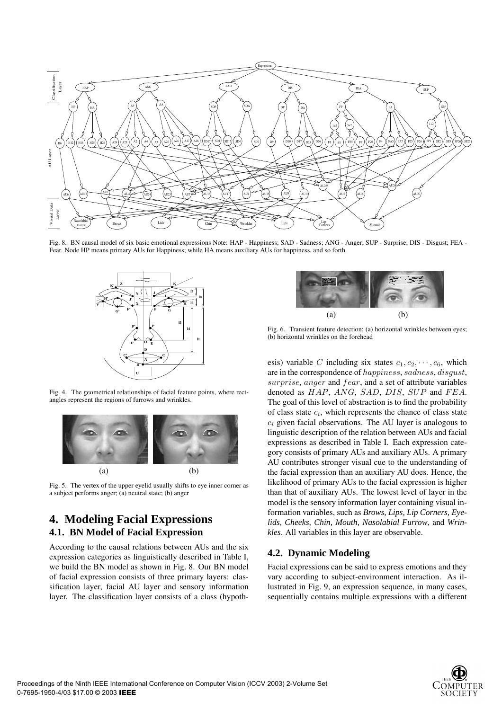

Fig. 8. BN causal model of six basic emotional expressions Note: HAP - Happiness; SAD - Sadness; ANG - Anger; SUP - Surprise; DIS - Disgust; FEA - Fear. Node HP means primary AUs for Happiness; while HA means auxiliary AUs for happiness, and so forth



Fig. 4. The geometrical relationships of facial feature points, where rectangles represent the regions of furrows and wrinkles.



Fig. 5. The vertex of the upper eyelid usually shifts to eye inner corner as a subject performs anger; (a) neutral state; (b) anger

## **4. Modeling Facial Expressions 4.1. BN Model of Facial Expression**

According to the causal relations between AUs and the six expression categories as linguistically described in Table I, we build the BN model as shown in Fig. 8. Our BN model of facial expression consists of three primary layers: classification layer, facial AU layer and sensory information layer. The classification layer consists of a class (hypoth-



Fig. 6. Transient feature detection; (a) horizontal wrinkles between eyes; (b) horizontal wrinkles on the forehead

esis) variable *C* including six states  $c_1, c_2, \dots, c_6$ , which are in the correspondence of *happiness*, *sadness*, *disgust*, *surprise*, *anger* and *fear*, and a set of attribute variables denoted as *HAP*, *ANG*, *SAD*, *DIS*, *SUP* and *FEA*. The goal of this level of abstraction is to find the probability of class state *ci*, which represents the chance of class state  $c_i$  given facial observations. The AU layer is analogous to linguistic description of the relation between AUs and facial expressions as described in Table I. Each expression category consists of primary AUs and auxiliary AUs. A primary AU contributes stronger visual cue to the understanding of the facial expression than an auxiliary AU does. Hence, the likelihood of primary AUs to the facial expression is higher than that of auxiliary AUs. The lowest level of layer in the model is the sensory information layer containing visual information variables, such as *Brows, Lips, Lip Corners, Eyelids, Cheeks, Chin, Mouth, Nasolabial Furrow*, and *Wrinkles*. All variables in this layer are observable.

### **4.2. Dynamic Modeling**

Facial expressions can be said to express emotions and they vary according to subject-environment interaction. As illustrated in Fig. 9, an expression sequence, in many cases, sequentially contains multiple expressions with a different

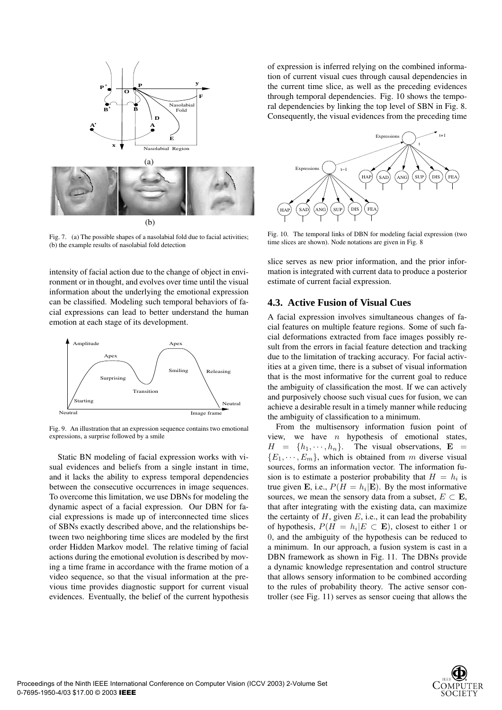

Fig. 7. (a) The possible shapes of a nasolabial fold due to facial activities; (b) the example results of nasolabial fold detection

intensity of facial action due to the change of object in environment or in thought, and evolves over time until the visual information about the underlying the emotional expression can be classified. Modeling such temporal behaviors of facial expressions can lead to better understand the human emotion at each stage of its development.



Fig. 9. An illustration that an expression sequence contains two emotional expressions, a surprise followed by a smile

Static BN modeling of facial expression works with visual evidences and beliefs from a single instant in time, and it lacks the ability to express temporal dependencies between the consecutive occurrences in image sequences. To overcome this limitation, we use DBNs for modeling the dynamic aspect of a facial expression. Our DBN for facial expressions is made up of interconnected time slices of SBNs exactly described above, and the relationships between two neighboring time slices are modeled by the first order Hidden Markov model. The relative timing of facial actions during the emotional evolution is described by moving a time frame in accordance with the frame motion of a video sequence, so that the visual information at the previous time provides diagnostic support for current visual evidences. Eventually, the belief of the current hypothesis

of expression is inferred relying on the combined information of current visual cues through causal dependencies in the current time slice, as well as the preceding evidences through temporal dependencies. Fig. 10 shows the temporal dependencies by linking the top level of SBN in Fig. 8. Consequently, the visual evidences from the preceding time



Fig. 10. The temporal links of DBN for modeling facial expression (two time slices are shown). Node notations are given in Fig. 8

slice serves as new prior information, and the prior information is integrated with current data to produce a posterior estimate of current facial expression.

### **4.3. Active Fusion of Visual Cues**

A facial expression involves simultaneous changes of facial features on multiple feature regions. Some of such facial deformations extracted from face images possibly result from the errors in facial feature detection and tracking due to the limitation of tracking accuracy. For facial activities at a given time, there is a subset of visual information that is the most informative for the current goal to reduce the ambiguity of classification the most. If we can actively and purposively choose such visual cues for fusion, we can achieve a desirable result in a timely manner while reducing the ambiguity of classification to a minimum.

From the multisensory information fusion point of view, we have *n* hypothesis of emotional states,  $H = \{h_1, \dots, h_n\}$ . The visual observations,  $E =$  ${E_1, \dots, E_m}$ , which is obtained from *m* diverse visual sources, forms an information vector. The information fusion is to estimate a posterior probability that  $H = h_i$  is true given **E**, i.e.,  $P(H = h_i | \mathbf{E})$ . By the most informative sources, we mean the sensory data from a subset,  $E \subset \mathbf{E}$ , that after integrating with the existing data, can maximize the certainty of *H*, given *E*, i.e., it can lead the probability of hypothesis,  $P(H = h_i | E \subset \mathbf{E})$ , closest to either 1 or 0, and the ambiguity of the hypothesis can be reduced to a minimum. In our approach, a fusion system is cast in a DBN framework as shown in Fig. 11. The DBNs provide a dynamic knowledge representation and control structure that allows sensory information to be combined according to the rules of probability theory. The active sensor controller (see Fig. 11) serves as sensor cueing that allows the

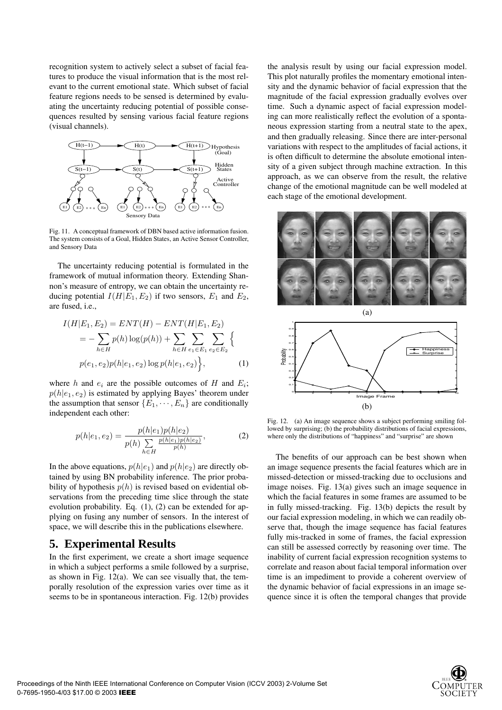recognition system to actively select a subset of facial features to produce the visual information that is the most relevant to the current emotional state. Which subset of facial feature regions needs to be sensed is determined by evaluating the uncertainty reducing potential of possible consequences resulted by sensing various facial feature regions (visual channels).



Fig. 11. A conceptual framework of DBN based active information fusion. The system consists of a Goal, Hidden States, an Active Sensor Controller, and Sensory Data

The uncertainty reducing potential is formulated in the framework of mutual information theory. Extending Shannon's measure of entropy, we can obtain the uncertainty reducing potential  $I(H|E_1, E_2)$  if two sensors,  $E_1$  and  $E_2$ , are fused, i.e.,

$$
I(H|E_1, E_2) = ENT(H) - ENT(H|E_1, E_2)
$$
  
= 
$$
- \sum_{h \in H} p(h) \log(p(h)) + \sum_{h \in H} \sum_{e_1 \in E_1} \sum_{e_2 \in E_2} \left\{ p(e_1, e_2) p(h|e_1, e_2) \log p(h|e_1, e_2) \right\},
$$
 (1)

where *h* and  $e_i$  are the possible outcomes of *H* and  $E_i$ ;  $p(h|e_1, e_2)$  is estimated by applying Bayes' theorem under the assumption that sensor  ${E_1, \dots, E_n}$  are conditionally independent each other:

$$
p(h|e_1, e_2) = \frac{p(h|e_1)p(h|e_2)}{p(h)\sum_{h \in H} \frac{p(h|e_1)p(h|e_2)}{p(h)}},
$$
\n(2)

In the above equations,  $p(h|e_1)$  and  $p(h|e_2)$  are directly obtained by using BN probability inference. The prior probability of hypothesis  $p(h)$  is revised based on evidential observations from the preceding time slice through the state evolution probability. Eq. (1), (2) can be extended for applying on fusing any number of sensors. In the interest of space, we will describe this in the publications elsewhere.

### **5. Experimental Results**

In the first experiment, we create a short image sequence in which a subject performs a smile followed by a surprise, as shown in Fig.  $12(a)$ . We can see visually that, the temporally resolution of the expression varies over time as it seems to be in spontaneous interaction. Fig. 12(b) provides

the analysis result by using our facial expression model. This plot naturally profiles the momentary emotional intensity and the dynamic behavior of facial expression that the magnitude of the facial expression gradually evolves over time. Such a dynamic aspect of facial expression modeling can more realistically reflect the evolution of a spontaneous expression starting from a neutral state to the apex, and then gradually releasing. Since there are inter-personal variations with respect to the amplitudes of facial actions, it is often difficult to determine the absolute emotional intensity of a given subject through machine extraction. In this approach, as we can observe from the result, the relative change of the emotional magnitude can be well modeled at each stage of the emotional development.





Fig. 12. (a) An image sequence shows a subject performing smiling followed by surprising; (b) the probability distributions of facial expressions, where only the distributions of "happiness" and "surprise" are shown

The benefits of our approach can be best shown when an image sequence presents the facial features which are in missed-detection or missed-tracking due to occlusions and image noises. Fig. 13(a) gives such an image sequence in which the facial features in some frames are assumed to be in fully missed-tracking. Fig. 13(b) depicts the result by our facial expression modeling, in which we can readily observe that, though the image sequence has facial features fully mis-tracked in some of frames, the facial expression can still be assessed correctly by reasoning over time. The inability of current facial expression recognition systems to correlate and reason about facial temporal information over time is an impediment to provide a coherent overview of the dynamic behavior of facial expressions in an image sequence since it is often the temporal changes that provide

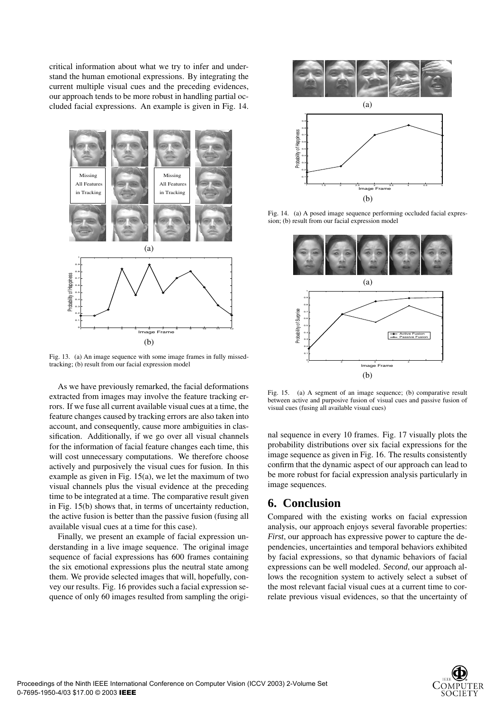critical information about what we try to infer and understand the human emotional expressions. By integrating the current multiple visual cues and the preceding evidences, our approach tends to be more robust in handling partial occluded facial expressions. An example is given in Fig. 14.



Fig. 13. (a) An image sequence with some image frames in fully missedtracking; (b) result from our facial expression model

As we have previously remarked, the facial deformations extracted from images may involve the feature tracking errors. If we fuse all current available visual cues at a time, the feature changes caused by tracking errors are also taken into account, and consequently, cause more ambiguities in classification. Additionally, if we go over all visual channels for the information of facial feature changes each time, this will cost unnecessary computations. We therefore choose actively and purposively the visual cues for fusion. In this example as given in Fig. 15(a), we let the maximum of two visual channels plus the visual evidence at the preceding time to be integrated at a time. The comparative result given in Fig. 15(b) shows that, in terms of uncertainty reduction, the active fusion is better than the passive fusion (fusing all available visual cues at a time for this case).

Finally, we present an example of facial expression understanding in a live image sequence. The original image sequence of facial expressions has 600 frames containing the six emotional expressions plus the neutral state among them. We provide selected images that will, hopefully, convey our results. Fig. 16 provides such a facial expression sequence of only 60 images resulted from sampling the origi-



Fig. 14. (a) A posed image sequence performing occluded facial expression; (b) result from our facial expression model



Fig. 15. (a) A segment of an image sequence; (b) comparative result between active and purposive fusion of visual cues and passive fusion of visual cues (fusing all available visual cues)

nal sequence in every 10 frames. Fig. 17 visually plots the probability distributions over six facial expressions for the image sequence as given in Fig. 16. The results consistently confirm that the dynamic aspect of our approach can lead to be more robust for facial expression analysis particularly in image sequences.

# **6. Conclusion**

Compared with the existing works on facial expression analysis, our approach enjoys several favorable properties: *First*, our approach has expressive power to capture the dependencies, uncertainties and temporal behaviors exhibited by facial expressions, so that dynamic behaviors of facial expressions can be well modeled. *Second*, our approach allows the recognition system to actively select a subset of the most relevant facial visual cues at a current time to correlate previous visual evidences, so that the uncertainty of